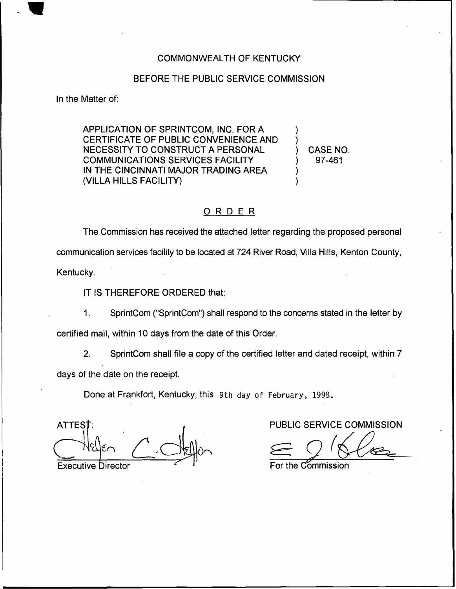## COMMONWEALTH OF KENTUCKY

## BEFORE THE PUBLIC SERVICE COMMISSION

In the Matter of:

APPLICATION OF SPRINTCOM, INC. FOR A CERTIFICATE OF PUBLIC CONVENIENCE AND NECESSITY TO CONSTRUCT A PERSONAL COMMUNICATIONS SERVICES FACILITY IN THE CINCINNATI MAJOR TRADING AREA (VILLA HILLS FACILITY)

) CASE NO. ) 97-461

) )

) )

## ORDER

The Commission has received the attached letter regarding the proposed personal communication services facility to be located at 724 River Road, Villa Hills, Kenton County, Kentucky.

IT IS THEREFORE ORDERED that:

 $1<sub>1</sub>$ SprintCom ("SprintCom") shall respond to the concerns stated in the letter by

certified mail, within 10 days from the date of this Order.

2. SprintCom shall file a copy of the certified letter and dated receipt, within 7 days of the date on the receipt.

Done at Frankfort, Kentucky, this 9th day of February, 1998.

**ATTES** Executive Director **For the Commission** For the Commission

PUBLIC SERVICE COMMISSION